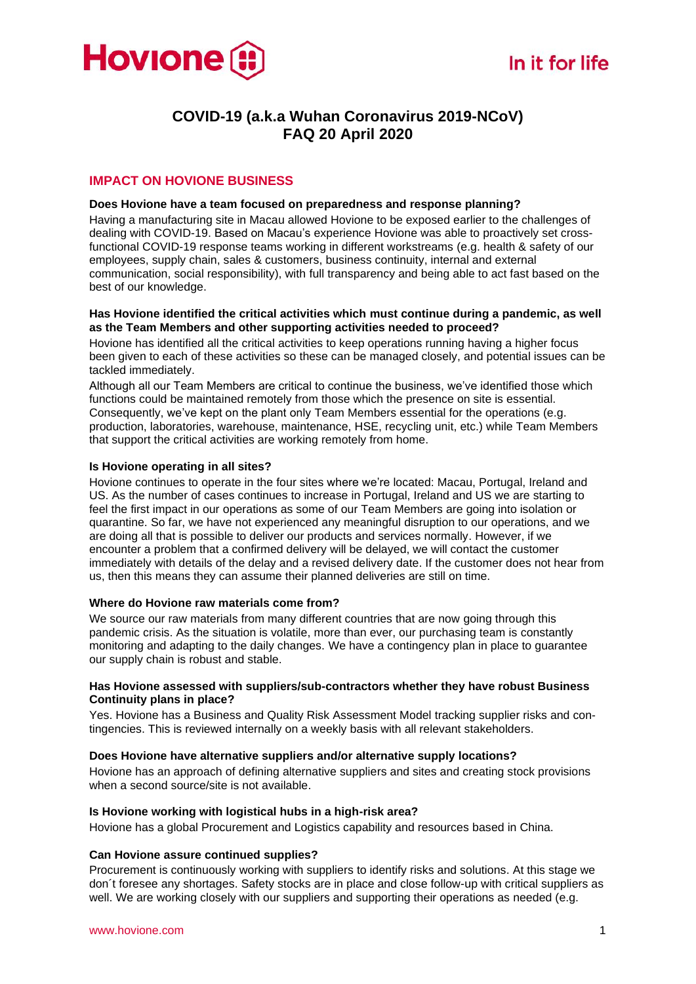

# **COVID-19 (a.k.a Wuhan Coronavirus 2019-NCoV) FAQ 20 April 2020**

# **IMPACT ON HOVIONE BUSINESS**

# **Does Hovione have a team focused on preparedness and response planning?**

Having a manufacturing site in Macau allowed Hovione to be exposed earlier to the challenges of dealing with COVID-19. Based on Macau's experience Hovione was able to proactively set crossfunctional COVID-19 response teams working in different workstreams (e.g. health & safety of our employees, supply chain, sales & customers, business continuity, internal and external communication, social responsibility), with full transparency and being able to act fast based on the best of our knowledge.

# **Has Hovione identified the critical activities which must continue during a pandemic, as well as the Team Members and other supporting activities needed to proceed?**

Hovione has identified all the critical activities to keep operations running having a higher focus been given to each of these activities so these can be managed closely, and potential issues can be tackled immediately.

Although all our Team Members are critical to continue the business, we've identified those which functions could be maintained remotely from those which the presence on site is essential. Consequently, we've kept on the plant only Team Members essential for the operations (e.g. production, laboratories, warehouse, maintenance, HSE, recycling unit, etc.) while Team Members that support the critical activities are working remotely from home.

# **Is Hovione operating in all sites?**

Hovione continues to operate in the four sites where we're located: Macau, Portugal, Ireland and US. As the number of cases continues to increase in Portugal, Ireland and US we are starting to feel the first impact in our operations as some of our Team Members are going into isolation or quarantine. So far, we have not experienced any meaningful disruption to our operations, and we are doing all that is possible to deliver our products and services normally. However, if we encounter a problem that a confirmed delivery will be delayed, we will contact the customer immediately with details of the delay and a revised delivery date. If the customer does not hear from us, then this means they can assume their planned deliveries are still on time.

# **Where do Hovione raw materials come from?**

We source our raw materials from many different countries that are now going through this pandemic crisis. As the situation is volatile, more than ever, our purchasing team is constantly monitoring and adapting to the daily changes. We have a contingency plan in place to guarantee our supply chain is robust and stable.

#### **Has Hovione assessed with suppliers/sub-contractors whether they have robust Business Continuity plans in place?**

Yes. Hovione has a Business and Quality Risk Assessment Model tracking supplier risks and contingencies. This is reviewed internally on a weekly basis with all relevant stakeholders.

# **Does Hovione have alternative suppliers and/or alternative supply locations?**

Hovione has an approach of defining alternative suppliers and sites and creating stock provisions when a second source/site is not available.

# **Is Hovione working with logistical hubs in a high-risk area?**

Hovione has a global Procurement and Logistics capability and resources based in China.

# **Can Hovione assure continued supplies?**

Procurement is continuously working with suppliers to identify risks and solutions. At this stage we don´t foresee any shortages. Safety stocks are in place and close follow-up with critical suppliers as well. We are working closely with our suppliers and supporting their operations as needed (e.g.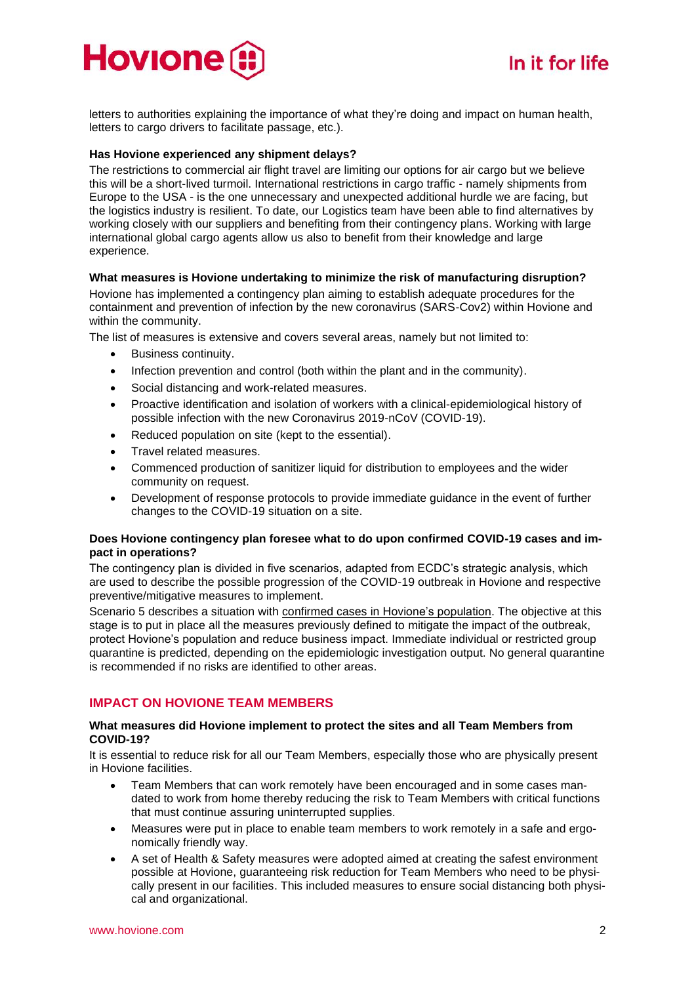

letters to authorities explaining the importance of what they're doing and impact on human health, letters to cargo drivers to facilitate passage, etc.).

#### **Has Hovione experienced any shipment delays?**

The restrictions to commercial air flight travel are limiting our options for air cargo but we believe this will be a short-lived turmoil. International restrictions in cargo traffic - namely shipments from Europe to the USA - is the one unnecessary and unexpected additional hurdle we are facing, but the logistics industry is resilient. To date, our Logistics team have been able to find alternatives by working closely with our suppliers and benefiting from their contingency plans. Working with large international global cargo agents allow us also to benefit from their knowledge and large experience.

### **What measures is Hovione undertaking to minimize the risk of manufacturing disruption?**

Hovione has implemented a contingency plan aiming to establish adequate procedures for the containment and prevention of infection by the new coronavirus (SARS-Cov2) within Hovione and within the community.

The list of measures is extensive and covers several areas, namely but not limited to:

- Business continuity.
- Infection prevention and control (both within the plant and in the community).
- Social distancing and work-related measures.
- Proactive identification and isolation of workers with a clinical-epidemiological history of possible infection with the new Coronavirus 2019-nCoV (COVID-19).
- Reduced population on site (kept to the essential).
- Travel related measures.
- Commenced production of sanitizer liquid for distribution to employees and the wider community on request.
- Development of response protocols to provide immediate guidance in the event of further changes to the COVID-19 situation on a site.

# **Does Hovione contingency plan foresee what to do upon confirmed COVID-19 cases and impact in operations?**

The contingency plan is divided in five scenarios, adapted from ECDC's strategic analysis, which are used to describe the possible progression of the COVID-19 outbreak in Hovione and respective preventive/mitigative measures to implement.

Scenario 5 describes a situation with confirmed cases in Hovione's population. The objective at this stage is to put in place all the measures previously defined to mitigate the impact of the outbreak, protect Hovione's population and reduce business impact. Immediate individual or restricted group quarantine is predicted, depending on the epidemiologic investigation output. No general quarantine is recommended if no risks are identified to other areas.

# **IMPACT ON HOVIONE TEAM MEMBERS**

#### **What measures did Hovione implement to protect the sites and all Team Members from COVID-19?**

It is essential to reduce risk for all our Team Members, especially those who are physically present in Hovione facilities.

- Team Members that can work remotely have been encouraged and in some cases mandated to work from home thereby reducing the risk to Team Members with critical functions that must continue assuring uninterrupted supplies.
- Measures were put in place to enable team members to work remotely in a safe and ergonomically friendly way.
- A set of Health & Safety measures were adopted aimed at creating the safest environment possible at Hovione, guaranteeing risk reduction for Team Members who need to be physically present in our facilities. This included measures to ensure social distancing both physical and organizational.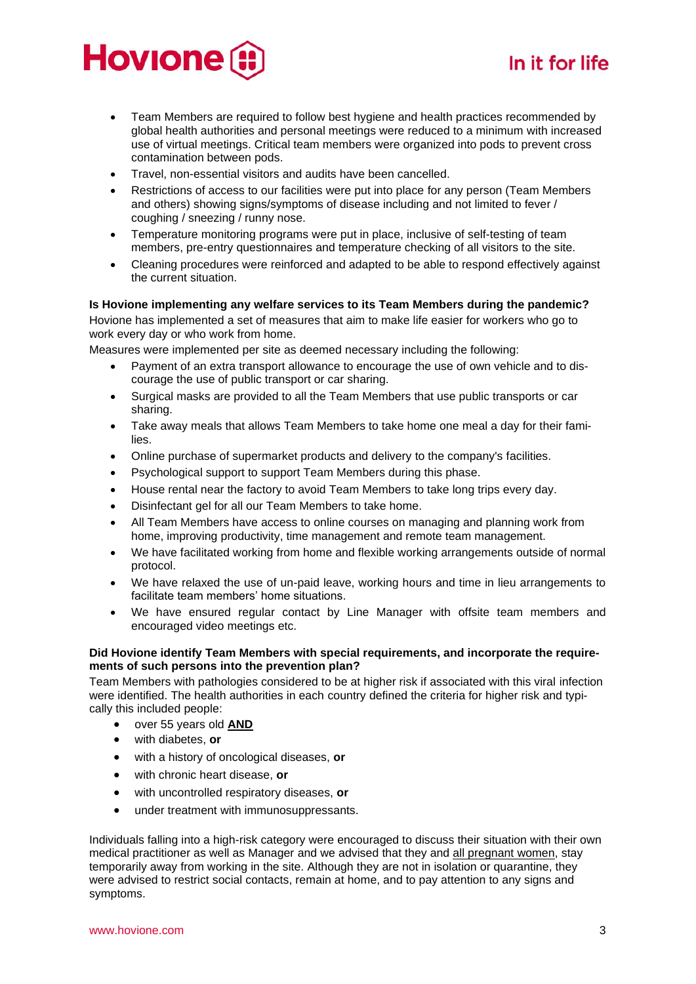# **Hovione**

# In it for life

- Team Members are required to follow best hygiene and health practices recommended by global health authorities and personal meetings were reduced to a minimum with increased use of virtual meetings. Critical team members were organized into pods to prevent cross contamination between pods.
- Travel, non-essential visitors and audits have been cancelled.
- Restrictions of access to our facilities were put into place for any person (Team Members and others) showing signs/symptoms of disease including and not limited to fever / coughing / sneezing / runny nose.
- Temperature monitoring programs were put in place, inclusive of self-testing of team members, pre-entry questionnaires and temperature checking of all visitors to the site.
- Cleaning procedures were reinforced and adapted to be able to respond effectively against the current situation.

# **Is Hovione implementing any welfare services to its Team Members during the pandemic?**

Hovione has implemented a set of measures that aim to make life easier for workers who go to work every day or who work from home.

Measures were implemented per site as deemed necessary including the following:

- Payment of an extra transport allowance to encourage the use of own vehicle and to discourage the use of public transport or car sharing.
- Surgical masks are provided to all the Team Members that use public transports or car sharing.
- Take away meals that allows Team Members to take home one meal a day for their families.
- Online purchase of supermarket products and delivery to the company's facilities.
- Psychological support to support Team Members during this phase.
- House rental near the factory to avoid Team Members to take long trips every day.
- Disinfectant gel for all our Team Members to take home.
- All Team Members have access to online courses on managing and planning work from home, improving productivity, time management and remote team management.
- We have facilitated working from home and flexible working arrangements outside of normal protocol.
- We have relaxed the use of un-paid leave, working hours and time in lieu arrangements to facilitate team members' home situations.
- We have ensured regular contact by Line Manager with offsite team members and encouraged video meetings etc.

# **Did Hovione identify Team Members with special requirements, and incorporate the requirements of such persons into the prevention plan?**

Team Members with pathologies considered to be at higher risk if associated with this viral infection were identified. The health authorities in each country defined the criteria for higher risk and typically this included people:

- over 55 years old **AND**
- with diabetes, **or**
- with a history of oncological diseases, **or**
- with chronic heart disease, **or**
- with uncontrolled respiratory diseases, **or**
- under treatment with immunosuppressants.

Individuals falling into a high-risk category were encouraged to discuss their situation with their own medical practitioner as well as Manager and we advised that they and all pregnant women, stay temporarily away from working in the site. Although they are not in isolation or quarantine, they were advised to restrict social contacts, remain at home, and to pay attention to any signs and symptoms.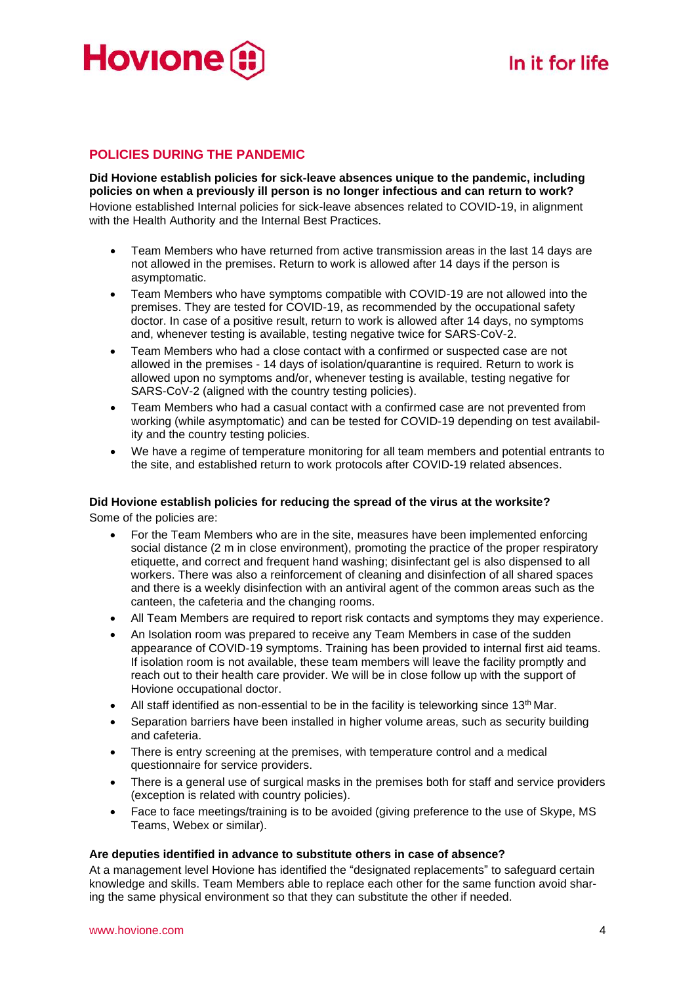

# **POLICIES DURING THE PANDEMIC**

**Did Hovione establish policies for sick-leave absences unique to the pandemic, including policies on when a previously ill person is no longer infectious and can return to work?** Hovione established Internal policies for sick-leave absences related to COVID-19, in alignment with the Health Authority and the Internal Best Practices.

- Team Members who have returned from active transmission areas in the last 14 days are not allowed in the premises. Return to work is allowed after 14 days if the person is asymptomatic.
- Team Members who have symptoms compatible with COVID-19 are not allowed into the premises. They are tested for COVID-19, as recommended by the occupational safety doctor. In case of a positive result, return to work is allowed after 14 days, no symptoms and, whenever testing is available, testing negative twice for SARS-CoV-2.
- Team Members who had a close contact with a confirmed or suspected case are not allowed in the premises - 14 days of isolation/quarantine is required. Return to work is allowed upon no symptoms and/or, whenever testing is available, testing negative for SARS-CoV-2 (aligned with the country testing policies).
- Team Members who had a casual contact with a confirmed case are not prevented from working (while asymptomatic) and can be tested for COVID-19 depending on test availability and the country testing policies.
- We have a regime of temperature monitoring for all team members and potential entrants to the site, and established return to work protocols after COVID-19 related absences.

# **Did Hovione establish policies for reducing the spread of the virus at the worksite?**

Some of the policies are:

- For the Team Members who are in the site, measures have been implemented enforcing social distance (2 m in close environment), promoting the practice of the proper respiratory etiquette, and correct and frequent hand washing; disinfectant gel is also dispensed to all workers. There was also a reinforcement of cleaning and disinfection of all shared spaces and there is a weekly disinfection with an antiviral agent of the common areas such as the canteen, the cafeteria and the changing rooms.
- All Team Members are required to report risk contacts and symptoms they may experience.
- An Isolation room was prepared to receive any Team Members in case of the sudden appearance of COVID-19 symptoms. Training has been provided to internal first aid teams. If isolation room is not available, these team members will leave the facility promptly and reach out to their health care provider. We will be in close follow up with the support of Hovione occupational doctor.
- All staff identified as non-essential to be in the facility is teleworking since  $13<sup>th</sup>$  Mar.
- Separation barriers have been installed in higher volume areas, such as security building and cafeteria.
- There is entry screening at the premises, with temperature control and a medical questionnaire for service providers.
- There is a general use of surgical masks in the premises both for staff and service providers (exception is related with country policies).
- Face to face meetings/training is to be avoided (giving preference to the use of Skype, MS Teams, Webex or similar).

# **Are deputies identified in advance to substitute others in case of absence?**

At a management level Hovione has identified the "designated replacements" to safeguard certain knowledge and skills. Team Members able to replace each other for the same function avoid sharing the same physical environment so that they can substitute the other if needed.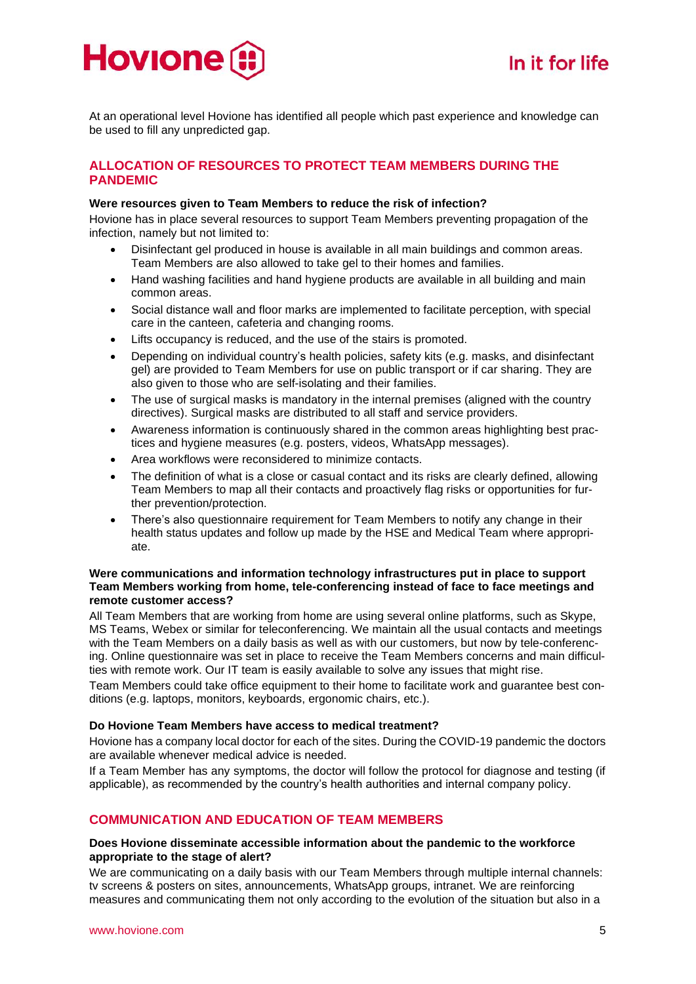

At an operational level Hovione has identified all people which past experience and knowledge can be used to fill any unpredicted gap.

# **ALLOCATION OF RESOURCES TO PROTECT TEAM MEMBERS DURING THE PANDEMIC**

# **Were resources given to Team Members to reduce the risk of infection?**

Hovione has in place several resources to support Team Members preventing propagation of the infection, namely but not limited to:

- Disinfectant gel produced in house is available in all main buildings and common areas. Team Members are also allowed to take gel to their homes and families.
- Hand washing facilities and hand hygiene products are available in all building and main common areas.
- Social distance wall and floor marks are implemented to facilitate perception, with special care in the canteen, cafeteria and changing rooms.
- Lifts occupancy is reduced, and the use of the stairs is promoted.
- Depending on individual country's health policies, safety kits (e.g. masks, and disinfectant gel) are provided to Team Members for use on public transport or if car sharing. They are also given to those who are self-isolating and their families.
- The use of surgical masks is mandatory in the internal premises (aligned with the country directives). Surgical masks are distributed to all staff and service providers.
- Awareness information is continuously shared in the common areas highlighting best practices and hygiene measures (e.g. posters, videos, WhatsApp messages).
- Area workflows were reconsidered to minimize contacts.
- The definition of what is a close or casual contact and its risks are clearly defined, allowing Team Members to map all their contacts and proactively flag risks or opportunities for further prevention/protection.
- There's also questionnaire requirement for Team Members to notify any change in their health status updates and follow up made by the HSE and Medical Team where appropriate.

# **Were communications and information technology infrastructures put in place to support Team Members working from home, tele-conferencing instead of face to face meetings and remote customer access?**

All Team Members that are working from home are using several online platforms, such as Skype, MS Teams, Webex or similar for teleconferencing. We maintain all the usual contacts and meetings with the Team Members on a daily basis as well as with our customers, but now by tele-conferencing. Online questionnaire was set in place to receive the Team Members concerns and main difficulties with remote work. Our IT team is easily available to solve any issues that might rise.

Team Members could take office equipment to their home to facilitate work and guarantee best conditions (e.g. laptops, monitors, keyboards, ergonomic chairs, etc.).

# **Do Hovione Team Members have access to medical treatment?**

Hovione has a company local doctor for each of the sites. During the COVID-19 pandemic the doctors are available whenever medical advice is needed.

If a Team Member has any symptoms, the doctor will follow the protocol for diagnose and testing (if applicable), as recommended by the country's health authorities and internal company policy.

# **COMMUNICATION AND EDUCATION OF TEAM MEMBERS**

# **Does Hovione disseminate accessible information about the pandemic to the workforce appropriate to the stage of alert?**

We are communicating on a daily basis with our Team Members through multiple internal channels: tv screens & posters on sites, announcements, WhatsApp groups, intranet. We are reinforcing measures and communicating them not only according to the evolution of the situation but also in a